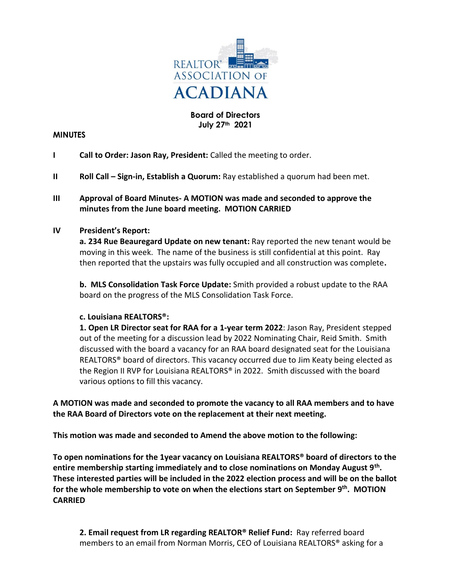

## **Board of Directors July 27th 2021**

#### **MINUTES**

- **I Call to Order: Jason Ray, President:** Called the meeting to order.
- **II Roll Call Sign-in, Establish a Quorum:** Ray established a quorum had been met.

## **III Approval of Board Minutes- A MOTION was made and seconded to approve the minutes from the June board meeting. MOTION CARRIED**

#### **IV President's Report:**

**a. 234 Rue Beauregard Update on new tenant:** Ray reported the new tenant would be moving in this week. The name of the business is still confidential at this point. Ray then reported that the upstairs was fully occupied and all construction was complete**.** 

**b. MLS Consolidation Task Force Update:** Smith provided a robust update to the RAA board on the progress of the MLS Consolidation Task Force.

#### **c. Louisiana REALTORS®:**

**1. Open LR Director seat for RAA for a 1-year term 2022**: Jason Ray, President stepped out of the meeting for a discussion lead by 2022 Nominating Chair, Reid Smith. Smith discussed with the board a vacancy for an RAA board designated seat for the Louisiana REALTORS® board of directors. This vacancy occurred due to Jim Keaty being elected as the Region II RVP for Louisiana REALTORS® in 2022. Smith discussed with the board various options to fill this vacancy.

**A MOTION was made and seconded to promote the vacancy to all RAA members and to have the RAA Board of Directors vote on the replacement at their next meeting.**

**This motion was made and seconded to Amend the above motion to the following:**

**To open nominations for the 1year vacancy on Louisiana REALTORS® board of directors to the entire membership starting immediately and to close nominations on Monday August 9th . These interested parties will be included in the 2022 election process and will be on the ballot for the whole membership to vote on when the elections start on September 9th. MOTION CARRIED**

**2. Email request from LR regarding REALTOR® Relief Fund:** Ray referred board members to an email from Norman Morris, CEO of Louisiana REALTORS® asking for a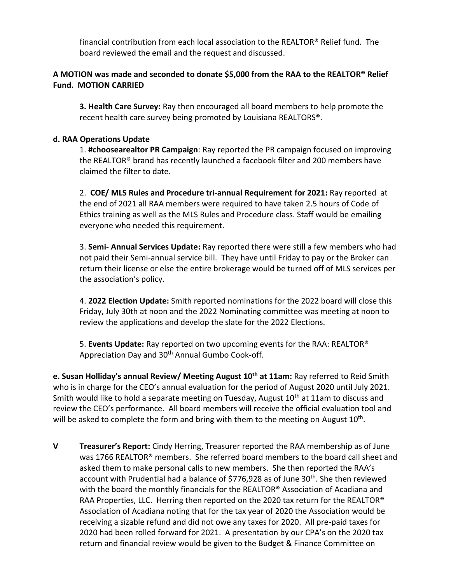financial contribution from each local association to the REALTOR® Relief fund. The board reviewed the email and the request and discussed.

## **A MOTION was made and seconded to donate \$5,000 from the RAA to the REALTOR® Relief Fund. MOTION CARRIED**

**3. Health Care Survey:** Ray then encouraged all board members to help promote the recent health care survey being promoted by Louisiana REALTORS®.

### **d. RAA Operations Update**

1. **#choosearealtor PR Campaign**: Ray reported the PR campaign focused on improving the REALTOR® brand has recently launched a facebook filter and 200 members have claimed the filter to date.

2. **COE/ MLS Rules and Procedure tri-annual Requirement for 2021:** Ray reported at the end of 2021 all RAA members were required to have taken 2.5 hours of Code of Ethics training as well as the MLS Rules and Procedure class. Staff would be emailing everyone who needed this requirement.

3. **Semi- Annual Services Update:** Ray reported there were still a few members who had not paid their Semi-annual service bill. They have until Friday to pay or the Broker can return their license or else the entire brokerage would be turned off of MLS services per the association's policy.

4. **2022 Election Update:** Smith reported nominations for the 2022 board will close this Friday, July 30th at noon and the 2022 Nominating committee was meeting at noon to review the applications and develop the slate for the 2022 Elections.

5. **Events Update:** Ray reported on two upcoming events for the RAA: REALTOR® Appreciation Day and 30<sup>th</sup> Annual Gumbo Cook-off.

**e. Susan Holliday's annual Review/ Meeting August 10th at 11am:** Ray referred to Reid Smith who is in charge for the CEO's annual evaluation for the period of August 2020 until July 2021. Smith would like to hold a separate meeting on Tuesday. August  $10<sup>th</sup>$  at 11am to discuss and review the CEO's performance. All board members will receive the official evaluation tool and will be asked to complete the form and bring with them to the meeting on August 10<sup>th</sup>.

**V Treasurer's Report:** Cindy Herring, Treasurer reported the RAA membership as of June was 1766 REALTOR® members. She referred board members to the board call sheet and asked them to make personal calls to new members. She then reported the RAA's account with Prudential had a balance of \$776,928 as of June 30<sup>th</sup>. She then reviewed with the board the monthly financials for the REALTOR<sup>®</sup> Association of Acadiana and RAA Properties, LLC. Herring then reported on the 2020 tax return for the REALTOR® Association of Acadiana noting that for the tax year of 2020 the Association would be receiving a sizable refund and did not owe any taxes for 2020. All pre-paid taxes for 2020 had been rolled forward for 2021. A presentation by our CPA's on the 2020 tax return and financial review would be given to the Budget & Finance Committee on